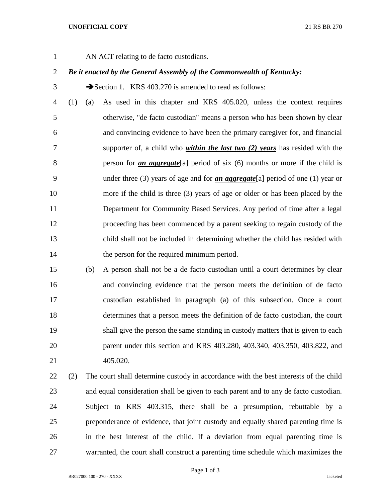## **UNOFFICIAL COPY** 21 RS BR 270

AN ACT relating to de facto custodians.

## *Be it enacted by the General Assembly of the Commonwealth of Kentucky:*

3 Section 1. KRS 403.270 is amended to read as follows:

 (1) (a) As used in this chapter and KRS 405.020, unless the context requires otherwise, "de facto custodian" means a person who has been shown by clear and convincing evidence to have been the primary caregiver for, and financial supporter of, a child who *within the last two (2) years* has resided with the **person for** *an aggregate*[a] period of six (6) months or more if the child is under three (3) years of age and for *an aggregate*[a] period of one (1) year or more if the child is three (3) years of age or older or has been placed by the Department for Community Based Services. Any period of time after a legal proceeding has been commenced by a parent seeking to regain custody of the child shall not be included in determining whether the child has resided with 14 the person for the required minimum period.

 (b) A person shall not be a de facto custodian until a court determines by clear and convincing evidence that the person meets the definition of de facto custodian established in paragraph (a) of this subsection. Once a court determines that a person meets the definition of de facto custodian, the court shall give the person the same standing in custody matters that is given to each parent under this section and KRS 403.280, 403.340, 403.350, 403.822, and 405.020.

 (2) The court shall determine custody in accordance with the best interests of the child and equal consideration shall be given to each parent and to any de facto custodian. Subject to KRS 403.315, there shall be a presumption, rebuttable by a preponderance of evidence, that joint custody and equally shared parenting time is in the best interest of the child. If a deviation from equal parenting time is warranted, the court shall construct a parenting time schedule which maximizes the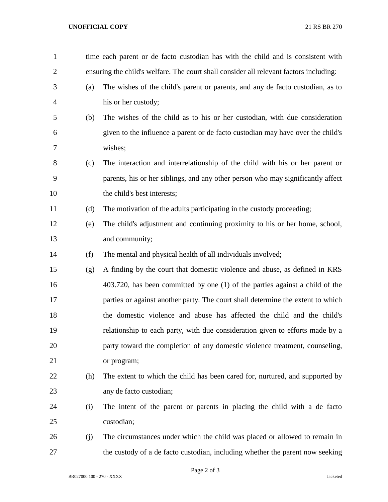## **UNOFFICIAL COPY** 21 RS BR 270

| $\mathbf{1}$   |     | time each parent or de facto custodian has with the child and is consistent with       |
|----------------|-----|----------------------------------------------------------------------------------------|
| $\overline{2}$ |     | ensuring the child's welfare. The court shall consider all relevant factors including: |
| 3              | (a) | The wishes of the child's parent or parents, and any de facto custodian, as to         |
| $\overline{4}$ |     | his or her custody;                                                                    |
| 5              | (b) | The wishes of the child as to his or her custodian, with due consideration             |
| 6              |     | given to the influence a parent or de facto custodian may have over the child's        |
| 7              |     | wishes;                                                                                |
| 8              | (c) | The interaction and interrelationship of the child with his or her parent or           |
| 9              |     | parents, his or her siblings, and any other person who may significantly affect        |
| 10             |     | the child's best interests;                                                            |
| 11             | (d) | The motivation of the adults participating in the custody proceeding;                  |
| 12             | (e) | The child's adjustment and continuing proximity to his or her home, school,            |
| 13             |     | and community;                                                                         |
| 14             | (f) | The mental and physical health of all individuals involved;                            |
| 15             | (g) | A finding by the court that domestic violence and abuse, as defined in KRS             |
| 16             |     | 403.720, has been committed by one (1) of the parties against a child of the           |
| 17             |     | parties or against another party. The court shall determine the extent to which        |
| 18             |     | the domestic violence and abuse has affected the child and the child's                 |
| 19             |     | relationship to each party, with due consideration given to efforts made by a          |
| 20             |     | party toward the completion of any domestic violence treatment, counseling,            |
| 21             |     | or program;                                                                            |
| 22             | (h) | The extent to which the child has been cared for, nurtured, and supported by           |
| 23             |     | any de facto custodian;                                                                |
| 24             | (i) | The intent of the parent or parents in placing the child with a de facto               |
| 25             |     | custodian;                                                                             |
| 26             | (j) | The circumstances under which the child was placed or allowed to remain in             |
| 27             |     | the custody of a de facto custodian, including whether the parent now seeking          |

Page 2 of 3